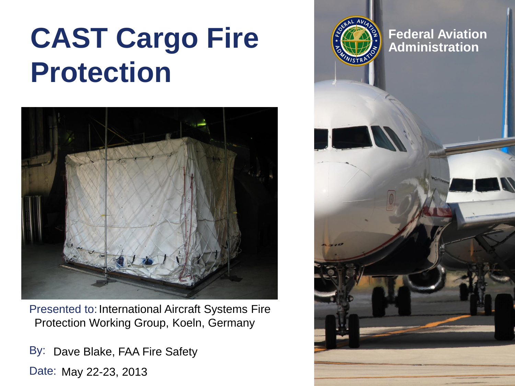# **CAST Cargo Fire**  $\left(\frac{2}{2}\right)^{2}$  Federal Aviation **Protection**



Presented to: International Aircraft Systems Fire Protection Working Group, Koeln, Germany

By: Dave Blake, FAA Fire Safety Date: May 22-23, 2013

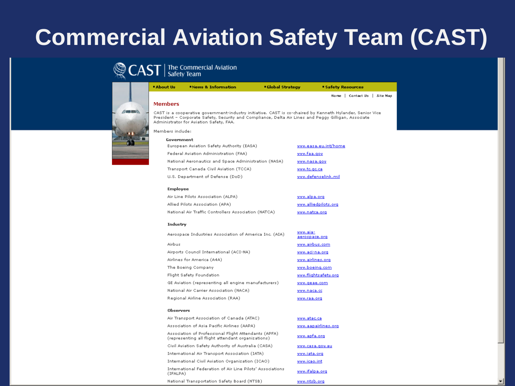# **Commercial Aviation Safety Team (CAST)**

#### The Commercial Aviation<br>Safety Team



| <b>* About Us</b> | "News & Information                                                                                                                                                                                                                                          | <b>Global Strategy</b> | <b>Safety Resources</b>         |  |
|-------------------|--------------------------------------------------------------------------------------------------------------------------------------------------------------------------------------------------------------------------------------------------------------|------------------------|---------------------------------|--|
|                   |                                                                                                                                                                                                                                                              |                        | Home   Contact Us  <br>Site Map |  |
| <b>Members</b>    |                                                                                                                                                                                                                                                              |                        |                                 |  |
|                   | CAST is a cooperative government-industry initiative. CAST is co-chaired by Kenneth Hylander, Senior Vice<br>President - Corporate Safety, Security and Compliance, Delta Air Lines and Peggy Gilligan, Associate<br>Administrator for Aviation Safety, FAA, |                        |                                 |  |
| Members include:  |                                                                                                                                                                                                                                                              |                        |                                 |  |
| Government        |                                                                                                                                                                                                                                                              |                        |                                 |  |
|                   | European Aviation Safety Authority (EASA)                                                                                                                                                                                                                    |                        | www.easa.eu.int/home            |  |
|                   | Federal Aviation Administration (FAA)                                                                                                                                                                                                                        | www.faa.gov            |                                 |  |
|                   | National Aeronautics and Space Administration (NASA)                                                                                                                                                                                                         |                        | www.nasa.gov                    |  |
|                   | Transport Canada Civil Aviation (TCCA)                                                                                                                                                                                                                       | www.tc.gc.ca           |                                 |  |
|                   | U.S. Department of Defense (DoD)                                                                                                                                                                                                                             |                        | www.defenselink.mil             |  |
| <b>Employee</b>   |                                                                                                                                                                                                                                                              |                        |                                 |  |
|                   | Air Line Pilots Association (ALPA)                                                                                                                                                                                                                           |                        | www.alpa.org                    |  |
|                   | Allied Pilots Association (APA)                                                                                                                                                                                                                              |                        | www.alliedpilots.org            |  |
|                   | National Air Traffic Controllers Association (NATCA)                                                                                                                                                                                                         |                        | www.natca.org                   |  |
| Industry          |                                                                                                                                                                                                                                                              |                        |                                 |  |
|                   | Aerospace Industries Association of America Inc. (AIA)                                                                                                                                                                                                       | www.aia-               | aerospace.org                   |  |
| Airbus            |                                                                                                                                                                                                                                                              |                        | www.airbus.com                  |  |
|                   | Airports Council International (ACI-NA)                                                                                                                                                                                                                      |                        | www.aci-na.org                  |  |
|                   | Airlines for America (A4A)                                                                                                                                                                                                                                   |                        | www.airlines.org                |  |
|                   | The Boeing Company                                                                                                                                                                                                                                           |                        | www.boeing.com                  |  |
|                   | Flight Safety Foundation                                                                                                                                                                                                                                     |                        | www.flightsafety.org            |  |
|                   | GE Aviation (representing all engine manufacturers)                                                                                                                                                                                                          |                        | www.geae.com                    |  |
|                   | National Air Carrier Association (NACA)                                                                                                                                                                                                                      | www.naca.cc            |                                 |  |
|                   | Regional Airline Association (RAA)                                                                                                                                                                                                                           | www.raa.org            |                                 |  |

#### Observers

| Air Transport Association of Canada (ATAC)                                                                | www.atac.ca         |
|-----------------------------------------------------------------------------------------------------------|---------------------|
| Association of Asia Pacific Airlines (AAPA)                                                               | www.aapairlines.org |
| Association of Professional Flight Attendants (APFA)<br>(representing all flight attendant organizations) | www.apfa.org        |
| Civil Aviation Safety Authority of Australia (CASA)                                                       | www.casa.gov.au     |
| International Air Transport Association (IATA)                                                            | www.iata.org        |
| International Civil Aviation Organization (ICAO)                                                          | www.icao.int        |
| International Federation of Air Line Pilots' Associations<br>(IFALPA)                                     | www.ifalpa.org      |
| National Transportation Safety Board (NTSB)                                                               | www.ntsb.org        |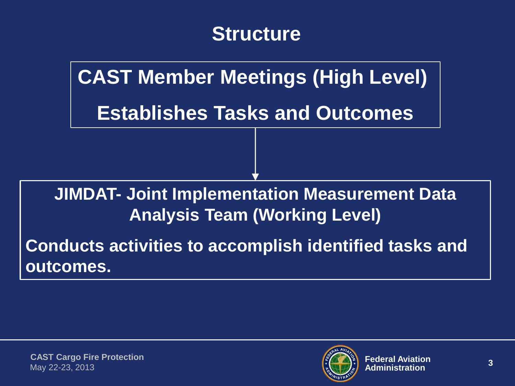## **Structure**

**CAST Member Meetings (High Level) Establishes Tasks and Outcomes**

**JIMDAT- Joint Implementation Measurement Data Analysis Team (Working Level)**

**Conducts activities to accomplish identified tasks and outcomes.**

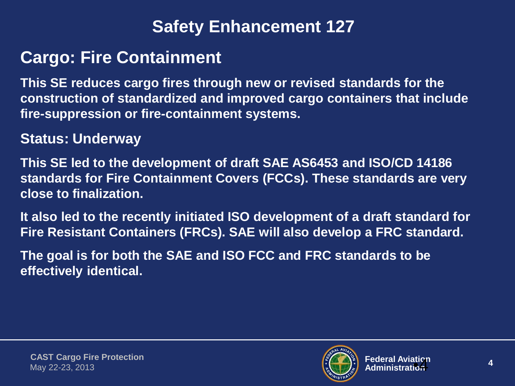#### **Safety Enhancement 127**

### **Cargo: Fire Containment**

**This SE reduces cargo fires through new or revised standards for the construction of standardized and improved cargo containers that include fire-suppression or fire-containment systems.**

#### **Status: Underway**

**This SE led to the development of draft SAE AS6453 and ISO/CD 14186 standards for Fire Containment Covers (FCCs). These standards are very close to finalization.**

**It also led to the recently initiated ISO development of a draft standard for Fire Resistant Containers (FRCs). SAE will also develop a FRC standard.** 

**The goal is for both the SAE and ISO FCC and FRC standards to be effectively identical.**